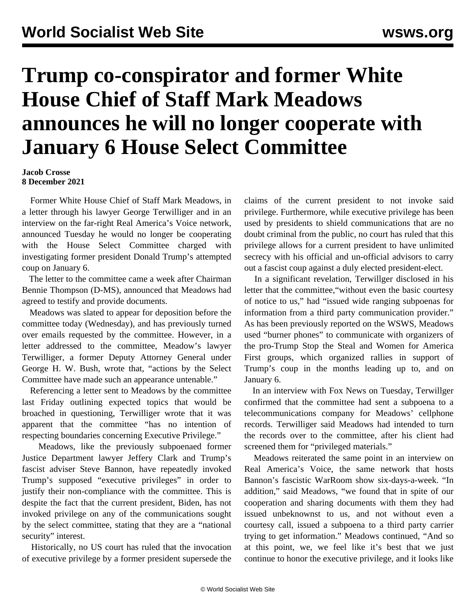## **Trump co-conspirator and former White House Chief of Staff Mark Meadows announces he will no longer cooperate with January 6 House Select Committee**

## **Jacob Crosse 8 December 2021**

 Former White House Chief of Staff Mark Meadows, in a letter through his lawyer George Terwilliger and in an interview on the far-right Real America's Voice network, announced Tuesday he would no longer be cooperating with the House Select Committee charged with investigating former president Donald Trump's attempted coup on January 6.

 The letter to the committee came a week after Chairman Bennie Thompson (D-MS), announced that Meadows had agreed to testify and provide documents.

 Meadows was slated to appear for deposition before the committee today (Wednesday), and has previously turned over emails requested by the committee. However, in a letter addressed to the committee, Meadow's lawyer Terwilliger, a former Deputy Attorney General under George H. W. Bush, wrote that, "actions by the Select Committee have made such an appearance untenable."

 Referencing a letter sent to Meadows by the committee last Friday outlining expected topics that would be broached in questioning, Terwilliger wrote that it was apparent that the committee "has no intention of respecting boundaries concerning Executive Privilege."

 Meadows, like the previously subpoenaed former Justice Department lawyer Jeffery Clark and Trump's fascist adviser Steve Bannon, have repeatedly invoked Trump's supposed "executive privileges" in order to justify their non-compliance with the committee. This is despite the fact that the current president, Biden, has not invoked privilege on any of the communications sought by the select committee, stating that they are a "national security" interest.

 Historically, no US court has ruled that the invocation of executive privilege by a former president supersede the claims of the current president to not invoke said privilege. Furthermore, while executive privilege has been used by presidents to shield communications that are no doubt criminal from the public, no court has ruled that this privilege allows for a current president to have unlimited secrecy with his official and un-official advisors to carry out a fascist coup against a duly elected president-elect.

 In a significant revelation, Terwillger disclosed in his letter that the committee,"without even the basic courtesy of notice to us," had "issued wide ranging subpoenas for information from a third party communication provider." As has been previously reported on the WSWS, Meadows used "burner phones" to communicate with organizers of the pro-Trump Stop the Steal and Women for America First groups, which organized rallies in support of Trump's coup in the months leading up to, and on January 6.

 In an interview with Fox News on Tuesday, Terwillger confirmed that the committee had sent a subpoena to a telecommunications company for Meadows' cellphone records. Terwilliger said Meadows had intended to turn the records over to the committee, after his client had screened them for "privileged materials."

 Meadows reiterated the same point in an interview on Real America's Voice, the same network that hosts Bannon's fascistic WarRoom show six-days-a-week. "In addition," said Meadows, "we found that in spite of our cooperation and sharing documents with them they had issued unbeknownst to us, and not without even a courtesy call, issued a subpoena to a third party carrier trying to get information." Meadows continued, "And so at this point, we, we feel like it's best that we just continue to honor the executive privilege, and it looks like